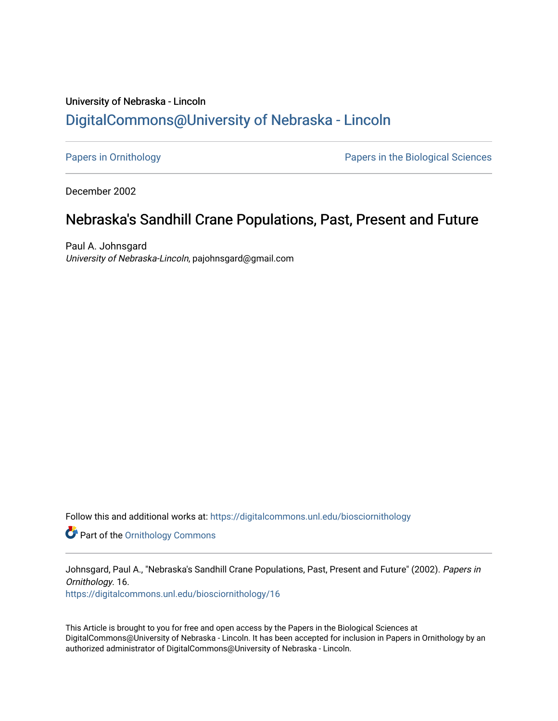## University of Nebraska - Lincoln [DigitalCommons@University of Nebraska - Lincoln](https://digitalcommons.unl.edu/)

[Papers in Ornithology](https://digitalcommons.unl.edu/biosciornithology) [Papers in the Biological Sciences](https://digitalcommons.unl.edu/bioscipapers) 

December 2002

## Nebraska's Sandhill Crane Populations, Past, Present and Future

Paul A. Johnsgard University of Nebraska-Lincoln, pajohnsgard@gmail.com

Follow this and additional works at: [https://digitalcommons.unl.edu/biosciornithology](https://digitalcommons.unl.edu/biosciornithology?utm_source=digitalcommons.unl.edu%2Fbiosciornithology%2F16&utm_medium=PDF&utm_campaign=PDFCoverPages) 

**Part of the Ornithology Commons** 

Johnsgard, Paul A., "Nebraska's Sandhill Crane Populations, Past, Present and Future" (2002). Papers in Ornithology. 16.

[https://digitalcommons.unl.edu/biosciornithology/16](https://digitalcommons.unl.edu/biosciornithology/16?utm_source=digitalcommons.unl.edu%2Fbiosciornithology%2F16&utm_medium=PDF&utm_campaign=PDFCoverPages) 

This Article is brought to you for free and open access by the Papers in the Biological Sciences at DigitalCommons@University of Nebraska - Lincoln. It has been accepted for inclusion in Papers in Ornithology by an authorized administrator of DigitalCommons@University of Nebraska - Lincoln.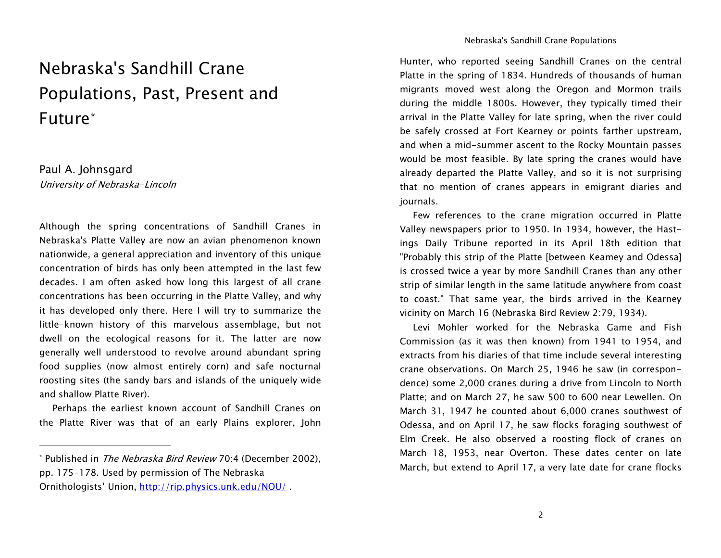## Nebraska's Sandhill CranePopulations, Past, Present and Future\*

Paul A. Johnsgard University of Nebraska-Lincoln

Although the spring concentrations of Sandhill Cranes in Nebraska's Platte Valley are now an avian phenomenon known nationwide, <sup>a</sup> general appreciation and inventory of this unique concentration of birds has only been attempted in the last few decades. I am often asked how long this largest of all crane concentrations has been occurring in the Platte Valley, and why it has developed only there. Here I will try to summarize the little-known history of this marvelous assemblage, but not dwell on the ecological reasons for it. The latter are now generally well understood to revolve around abundant spring food supplies (now almost entirely corn) and safe nocturnal roosting sites (the sandy bars and islands of the uniquely wide and shallow Platte River).

Perhaps the earliest known account of Sandhill Cranes on the Platte River was that of an early Plains explorer, John

Hunter, who reported seeing Sandhill Cranes on the central Platte in the spring of 1834. Hundreds of thousands of human migrants moved west along the Oregon and Mormon trails during the middle 1800s. However, they typically timed their arrival in the Platte Valley for late spring, when the river could be safely crossed at Fort Kearney or points farther upstream, and when <sup>a</sup> mid-summer ascent to the Rocky Mountain passes would be most feasible. By late spring the cranes would have already departed the Platte Valley, and so it is not surprising that no mention of cranes appears in emigrant diaries and journals.

Few references to the crane migration occurred in Platte Valley newspapers prior to 1950. In 1934, however, the Hastings Daily Tribune reported in its April 18th edition that "Probably this strip of the Platte [between Keamey and Odessa] is crossed twice <sup>a</sup> year by more Sandhill Cranes than any other strip of similar length in the same latitude anywhere from coast to coast." That same year, the birds arrived in the Kearney vicinity on March 16 (Nebraska Bird Review 2:79, 1934).

Levi Mohler worked for the Nebraska Game and Fish Commission (as it was then known) from 1941 to 1954, and extracts from his diaries of that time include several interesting crane observations. On March 25, 1946 he saw (in correspondence) some 2,000 cranes during <sup>a</sup> drive from Lincoln to North Platte; and on March 27, he saw 500 to 600 near Lewellen. On March 31, 1947 he counted about 6,000 cranes southwest of Odessa, and on April 17, he saw flocks foraging southwest of Elm Creek. He also observed <sup>a</sup> roosting flock of cranes on March 18, 1953, near Overton. These dates center on late March, but extend to April 17, <sup>a</sup> very late date for crane flocks

<sup>\*</sup> Published in The Nebraska Bird Review 70:4 (December 2002),

pp. 175-178. Used by permission of The Nebraska

Ornithologists' Union, http://rip.physics.unk.edu/NOU/ .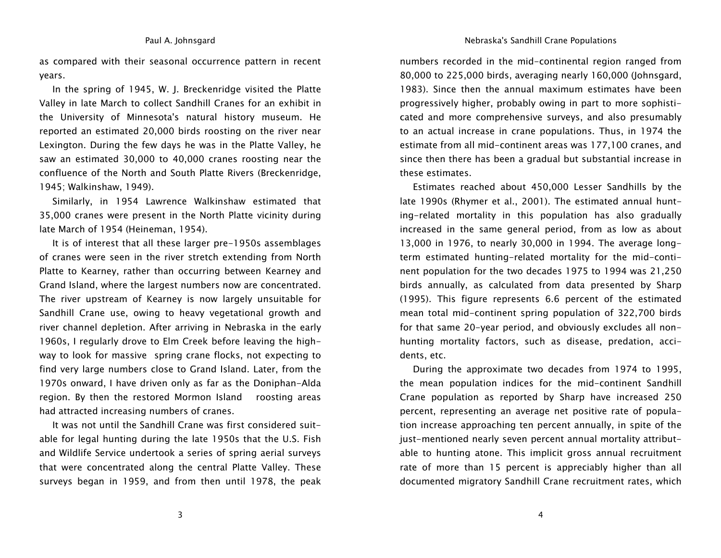as compared with their seasonal occurrence pattern in recent years.

In the spring of 1945, W. J. Breckenridge visited the Platte Valley in late March to collect Sandhill Cranes for an exhibit in the University of Minnesota's natural history museum. He reported an estimated 20,000 birds roosting on the river near Lexington. During the few days he was in the Platte Valley, he saw an estimated 30,000 to 40,000 cranes roosting near the confluence of the North and South Platte Rivers (Breckenridge, 1945; Walkinshaw, 1949).

Similarly, in 1954 Lawrence Walkinshaw estimated that 35,000 cranes were present in the North Platte vicinity during late March of 1954 (Heineman, 1954).

It is of interest that all these larger pre-1950s assemblages of cranes were seen in the river stretch extending from North Platte to Kearney, rather than occurring between Kearney and Grand Island, where the largest numbers now are concentrated. The river upstream of Kearney is now largely unsuitable for Sandhill Crane use, owing to heavy vegetational growth and river channel depletion. After arriving in Nebraska in the early 1960s, I regularly drove to Elm Creek before leaving the highway to look for massive spring crane flocks, not expecting to find very large numbers close to Grand Island. Later, from the 1970s onward, I have driven only as far as the Doniphan-Alda region. By then the restored Mormon Island roosting areas had attracted increasing numbers of cranes.

It was not until the Sandhill Crane was first considered suitable for legal hunting during the late 1950s that the U.S. Fish and Wildlife Service undertook <sup>a</sup> series of spring aerial surveys that were concentrated along the central Platte Valley. These surveys began in 1959, and from then until 1978, the peak

numbers recorded in the mid-continental region ranged from 80,000 to 225,000 birds, averaging nearly 160,000 (Johnsgard, 1983). Since then the annual maximum estimates have been progressively higher, probably owing in part to more sophisticated and more comprehensive surveys, and also presumably to an actual increase in crane populations. Thus, in 1974 the estimate from all mid-continent areas was 177,100 cranes, and since then there has been <sup>a</sup> gradual but substantial increase in these estimates.

Estimates reached about 450,000 Lesser Sandhills by the late 1990s (Rhymer et al., 2001). The estimated annual hunting-related mortality in this population has also gradually increased in the same general period, from as low as about 13,000 in 1976, to nearly 30,000 in 1994. The average longterm estimated hunting-related mortality for the mid-continent population for the two decades 1975 to 1994 was 21,250 birds annually, as calculated from data presented by Sharp (1995). This figure represents 6.6 percent of the estimated mean total mid-continent spring population of 322,700 birds for that same 20-year period, and obviously excludes all nonhunting mortality factors, such as disease, predation, accidents, etc.

During the approximate two decades from 1974 to 1995, the mean population indices for the mid-continent Sandhill Crane population as reported by Sharp have increased 250 percent, representing an average net positive rate of population increase approaching ten percent annually, in spite of the just-mentioned nearly seven percent annual mortality attributable to hunting atone. This implicit gross annual recruitment rate of more than 15 percent is appreciably higher than all documented migratory Sandhill Crane recruitment rates, which